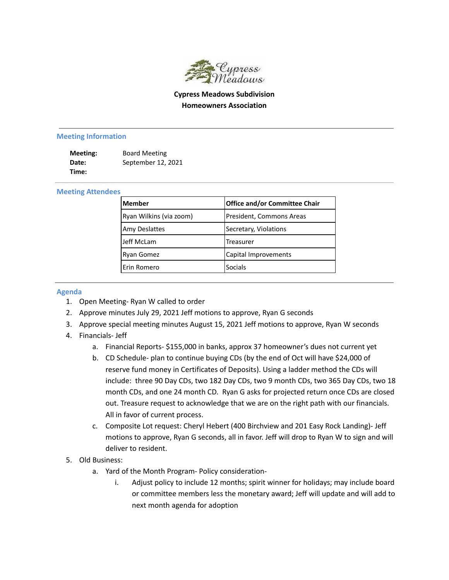

## **Cypress Meadows Subdivision Homeowners Association**

## **Meeting Information**

| Meeting: | <b>Board Meeting</b> |
|----------|----------------------|
| Date:    | September 12, 2021   |
| Time:    |                      |

## **Meeting Attendees**

| <b>IMember</b>          | <b>Office and/or Committee Chair</b> |
|-------------------------|--------------------------------------|
| Ryan Wilkins (via zoom) | President, Commons Areas             |
| <b>Amy Deslattes</b>    | Secretary, Violations                |
| Jeff McLam              | Treasurer                            |
| <b>Ryan Gomez</b>       | Capital Improvements                 |
| Erin Romero             | <b>Socials</b>                       |

## **Agenda**

- 1. Open Meeting- Ryan W called to order
- 2. Approve minutes July 29, 2021 Jeff motions to approve, Ryan G seconds
- 3. Approve special meeting minutes August 15, 2021 Jeff motions to approve, Ryan W seconds
- 4. Financials- Jeff
	- a. Financial Reports- \$155,000 in banks, approx 37 homeowner's dues not current yet
	- b. CD Schedule- plan to continue buying CDs (by the end of Oct will have \$24,000 of reserve fund money in Certificates of Deposits). Using a ladder method the CDs will include: three 90 Day CDs, two 182 Day CDs, two 9 month CDs, two 365 Day CDs, two 18 month CDs, and one 24 month CD. Ryan G asks for projected return once CDs are closed out. Treasure request to acknowledge that we are on the right path with our financials. All in favor of current process.
	- c. Composite Lot request: Cheryl Hebert (400 Birchview and 201 Easy Rock Landing)- Jeff motions to approve, Ryan G seconds, all in favor. Jeff will drop to Ryan W to sign and will deliver to resident.
- 5. Old Business:
	- a. Yard of the Month Program- Policy consideration
		- i. Adjust policy to include 12 months; spirit winner for holidays; may include board or committee members less the monetary award; Jeff will update and will add to next month agenda for adoption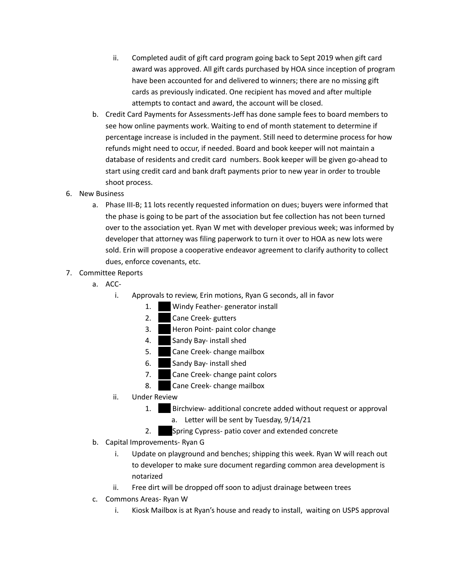- ii. Completed audit of gift card program going back to Sept 2019 when gift card award was approved. All gift cards purchased by HOA since inception of program have been accounted for and delivered to winners; there are no missing gift cards as previously indicated. One recipient has moved and after multiple attempts to contact and award, the account will be closed.
- b. Credit Card Payments for Assessments-Jeff has done sample fees to board members to see how online payments work. Waiting to end of month statement to determine if percentage increase is included in the payment. Still need to determine process for how refunds might need to occur, if needed. Board and book keeper will not maintain a database of residents and credit card numbers. Book keeper will be given go-ahead to start using credit card and bank draft payments prior to new year in order to trouble shoot process.
- 6. New Business
	- a. Phase III-B; 11 lots recently requested information on dues; buyers were informed that the phase is going to be part of the association but fee collection has not been turned over to the association yet. Ryan W met with developer previous week; was informed by developer that attorney was filing paperwork to turn it over to HOA as new lots were sold. Erin will propose a cooperative endeavor agreement to clarify authority to collect dues, enforce covenants, etc.
- 7. Committee Reports
	- a. ACC
		- i. Approvals to review, Erin motions, Ryan G seconds, all in favor
			- 1. **203 Windy Feather- generator install**
			- 2. **Cane Creek- gutters**
			- 3. Heron Point- paint color change
			- 4. Sandy Bay- install shed
			- 5. Cane Creek- change mailbox
			- 6. Sandy Bay- install shed
			- 7. Cane Creek- change paint colors
			- 8. Cane Creek- change mailbox
		- ii. Under Review
			- 1. **Birchview- additional concrete added without request or approval** a. Letter will be sent by Tuesday, 9/14/21
			- 2. Spring Cypress- patio cover and extended concrete
	- b. Capital Improvements- Ryan G
		- i. Update on playground and benches; shipping this week. Ryan W will reach out to developer to make sure document regarding common area development is notarized
		- ii. Free dirt will be dropped off soon to adjust drainage between trees
	- c. Commons Areas- Ryan W
		- i. Kiosk Mailbox is at Ryan's house and ready to install, waiting on USPS approval